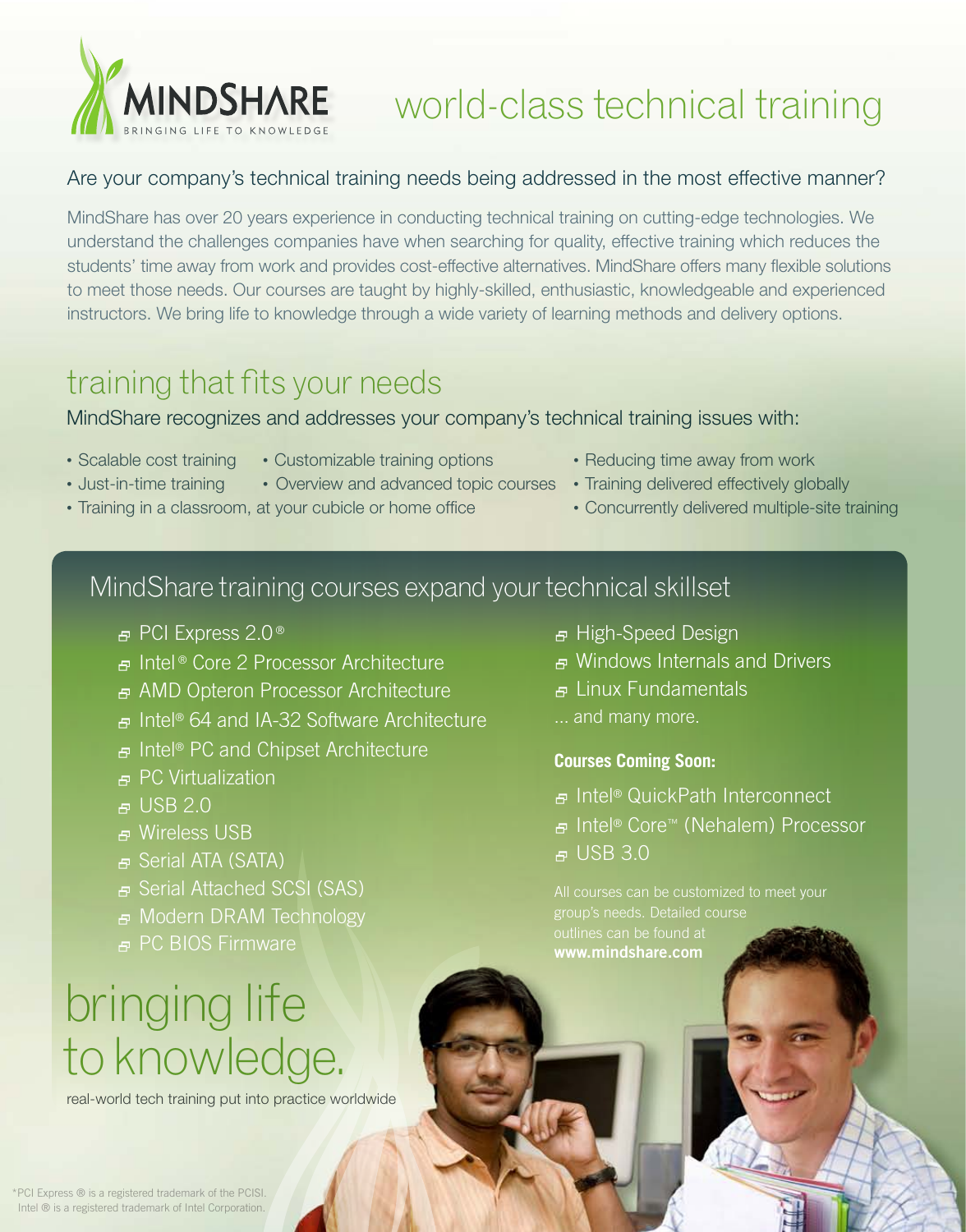

## world-class technical training

#### Are your company's technical training needs being addressed in the most effective manner?

MindShare has over 20 years experience in conducting technical training on cutting-edge technologies. We understand the challenges companies have when searching for quality, effective training which reduces the students' time away from work and provides cost-effective alternatives. MindShare offers many flexible solutions to meet those needs. Our courses are taught by highly-skilled, enthusiastic, knowledgeable and experienced instructors. We bring life to knowledge through a wide variety of learning methods and delivery options.

## training that fits your needs

MindShare recognizes and addresses your company's technical training issues with:

- 
- 
- Just-in-time training Overview and advanced topic courses Training delivered effectively globally
- Training in a classroom, at your cubicle or home office Concurrently delivered multiple-site training
- Scalable cost training Customizable training options Reducing time away from work
	-
	-

## [MindShare training courses expand your technical skillset](http://www.mindshare.com/learn/?section=11E3150A0A6B)

- **<sub>□</sub>** PCI Express 2.0<sup>®</sup>
- 2 Intel ® Core 2 Processor Architecture
- 2 AMD Opteron Processor Architecture
- 2 Intel® 64 and IA-32 Software Architecture
- 2 Intel® PC and Chipset Architecture
- $\overline{P}$  PC Virtualization
- $E<sub>B</sub>$  USB 2.0
- **P** Wireless USB
- B Serial ATA (SATA)
- 日 Serial Attached SCSI (SAS)
- 2 Modern DRAM Technology
- 
- 2 PC BIOS Firmware

# bringing life to knowledge.

real-world tech training put into practice worldwide

- <sub>■</sub> High-Speed Design
- 2 Windows Internals and Drivers
- 2 Linux Fundamentals
- ... and many more.

#### **Courses Coming Soon:**

- **E** Intel<sup>®</sup> [QuickPath Interconnect](http://www.mindshare.com/learn/?section=0BA2067E1D1E)
- 2 [Intel® Core™ \(Nehalem\) Processor](http://www.mindshare.com/learn/?section=0BA2150A067E)
- $E = USE 3.0$

All courses can be customized to meet your outlines can be found at **[www.mindshare.com](http://www.mindshare.com)**